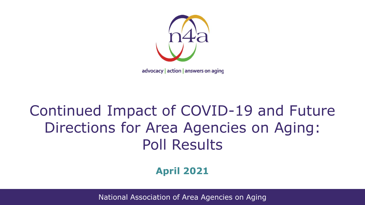

advocacy | action | answers on aging

### Continued Impact of COVID-19 and Future Directions for Area Agencies on Aging: Poll Results

#### **April 2021**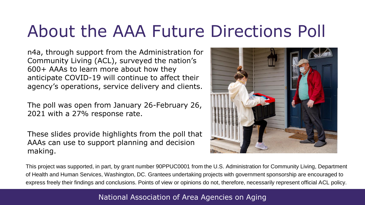## About the AAA Future Directions Poll

n4a, through support from the Administration for Community Living (ACL), surveyed the nation's 600+ AAAs to learn more about how they anticipate COVID-19 will continue to affect their agency's operations, service delivery and clients.

The poll was open from January 26-February 26, 2021 with a 27% response rate.

These slides provide highlights from the poll that AAAs can use to support planning and decision making.



This project was supported, in part, by grant number 90PPUC0001 from the U.S. Administration for Community Living, Department of Health and Human Services, Washington, DC. Grantees undertaking projects with government sponsorship are encouraged to express freely their findings and conclusions. Points of view or opinions do not, therefore, necessarily represent official ACL policy.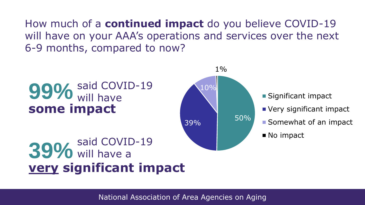How much of a **continued impact** do you believe COVID-19 will have on your AAA's operations and services over the next 6-9 months, compared to now?

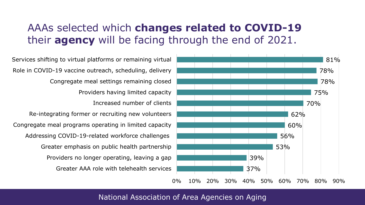#### AAAs selected which **changes related to COVID-19**  their **agency** will be facing through the end of 2021.



Greater AAA role with telehealth services Providers no longer operating, leaving a gap Greater emphasis on public health partnership Addressing COVID-19-related workforce challenges Congregate meal programs operating in limited capacity Re-integrating former or recruiting new volunteers Increased number of clients Providers having limited capacity Congregate meal settings remaining closed Role in COVID-19 vaccine outreach, scheduling, delivery Services shifting to virtual platforms or remaining virtual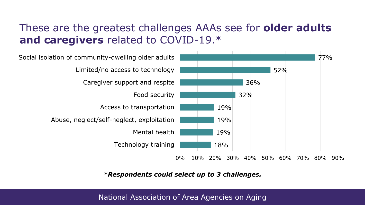### These are the greatest challenges AAAs see for **older adults and caregivers** related to COVID-19.\*



*\*Respondents could select up to 3 challenges.*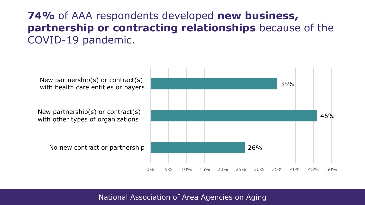### **74%** of AAA respondents developed **new business, partnership or contracting relationships** because of the COVID-19 pandemic.

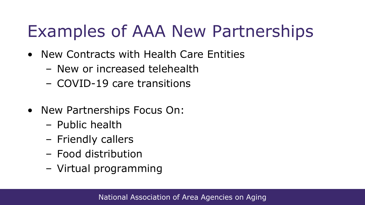# Examples of AAA New Partnerships

- New Contracts with Health Care Entities
	- New or increased telehealth
	- COVID-19 care transitions
- New Partnerships Focus On:
	- Public health
	- Friendly callers
	- Food distribution
	- Virtual programming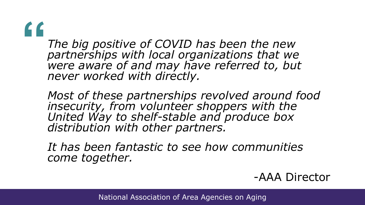**"**

*The big positive of COVID has been the new partnerships with local organizations that we were aware of and may have referred to, but never worked with directly.* 

*Most of these partnerships revolved around food insecurity, from volunteer shoppers with the United Way to shelf-stable and produce box distribution with other partners.* 

*It has been fantastic to see how communities come together.* 

-AAA Director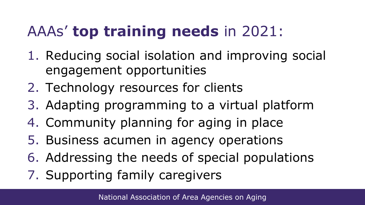### AAAs' **top training needs** in 2021:

- 1. Reducing social isolation and improving social engagement opportunities
- 2. Technology resources for clients
- 3. Adapting programming to a virtual platform
- 4. Community planning for aging in place
- 5. Business acumen in agency operations
- 6. Addressing the needs of special populations
- 7. Supporting family caregivers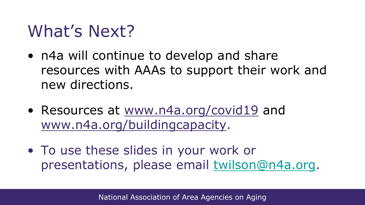### What's Next?

- n4a will continue to develop and share resources with AAAs to support their work and new directions.
- Resources at [www.n4a.org/covid19](http://www.n4a.org/covid19) and [www.n4a.org/buildingcapacity.](http://www.n4a.org/buildingcapacity)
- To use these slides in your work or presentations, please email [twilson@n4a.org](mailto:twilson@n4a.org).